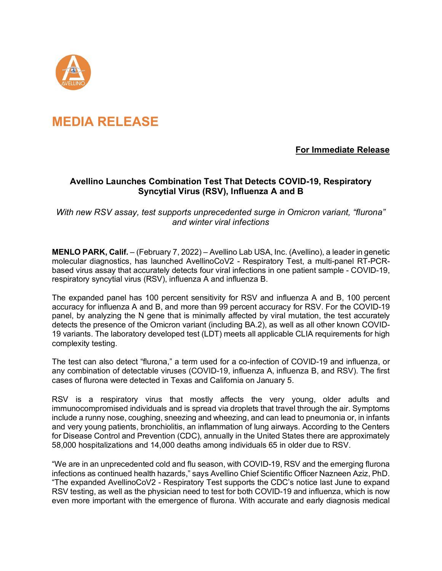

## **MEDIA RELEASE**

## **For Immediate Release**

## **Avellino Launches Combination Test That Detects COVID-19, Respiratory Syncytial Virus (RSV), Influenza A and B**

*With new RSV assay, test supports unprecedented surge in Omicron variant, "flurona" and winter viral infections*

**MENLO PARK, Calif.** – (February 7, 2022) – Avellino Lab USA, Inc. (Avellino), a leader in genetic molecular diagnostics, has launched AvellinoCoV2 - Respiratory Test, a multi-panel RT-PCRbased virus assay that accurately detects four viral infections in one patient sample - COVID-19, respiratory syncytial virus (RSV), influenza A and influenza B.

The expanded panel has 100 percent sensitivity for RSV and influenza A and B, 100 percent accuracy for influenza A and B, and more than 99 percent accuracy for RSV. For the COVID-19 panel, by analyzing the N gene that is minimally affected by viral mutation, the test accurately detects the presence of the Omicron variant (including BA.2), as well as all other known COVID-19 variants. The laboratory developed test (LDT) meets all applicable CLIA requirements for high complexity testing.

The test can also detect "flurona," a term used for a co-infection of COVID-19 and influenza, or any combination of detectable viruses (COVID-19, influenza A, influenza B, and RSV). The first cases of flurona were detected in Texas and California on January 5.

RSV is a respiratory virus that mostly affects the very young, older adults and immunocompromised individuals and is spread via droplets that travel through the air. Symptoms include a runny nose, coughing, sneezing and wheezing, and can lead to pneumonia or, in infants and very young patients, bronchiolitis, an inflammation of lung airways. According to the Centers for Disease Control and Prevention (CDC), annually in the United States there are approximately 58,000 hospitalizations and 14,000 deaths among individuals 65 in older due to RSV.

"We are in an unprecedented cold and flu season, with COVID-19, RSV and the emerging flurona infections as continued health hazards," says Avellino Chief Scientific Officer Nazneen Aziz, PhD. "The expanded AvellinoCoV2 - Respiratory Test supports the CDC's notice last June to expand RSV testing, as well as the physician need to test for both COVID-19 and influenza, which is now even more important with the emergence of flurona. With accurate and early diagnosis medical